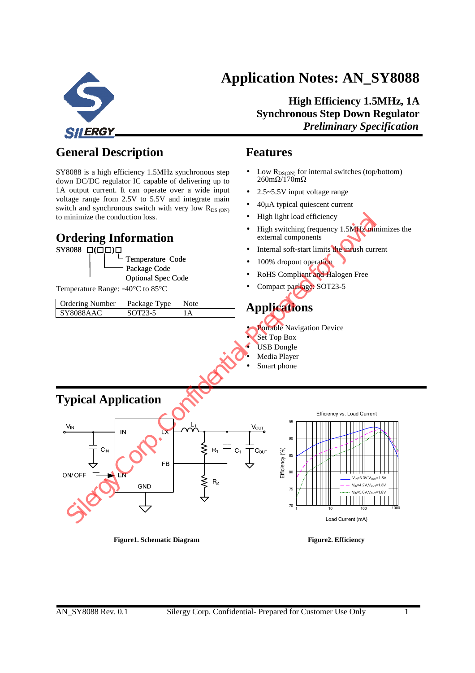



**High Efficiency 1.5MHz, 1A Synchronous Step Down Regulator**  *Preliminary Specification Preliminary Specification* 

## **General Description**

SY8088 is a high efficiency 1.5MHz synchronous step down DC/DC regulator IC capable of delivering up to 1A output current. It can operate over a wide input voltage range from 2.5V to 5.5V and integrate main switch and synchronous switch with very low  $R_{DS (ON)}$ to minimize the conduction loss.

### **Ordering Information**



Temperature Range: -40°C to 85°C

| <b>Ordering Number</b> | Package Type | Note     |
|------------------------|--------------|----------|
| SY8088AAC              | SOT23-5      | $\Delta$ |

### **Features**

- Low  $R_{DS(ON)}$  for internal switches (top/bottom)  $260 \text{m}\Omega/170 \text{m}\Omega$
- 2.5~5.5V input voltage range
- 40µA typical quiescent current
- High light load efficiency
- High switching frequency 1.5MHz minimizes the external components
- Internal soft-start limits the inrush current
- 100% dropout operation
- RoHS Compliant and Halogen Free
- Compact package: SOT23-5

## **Applications**

- **Portable Navigation Device**
- Set Top Box
- USB Dongle
- Media Player
- Smart phone



#### Figure1. Schematic Diagram **Figure2. Efficiency**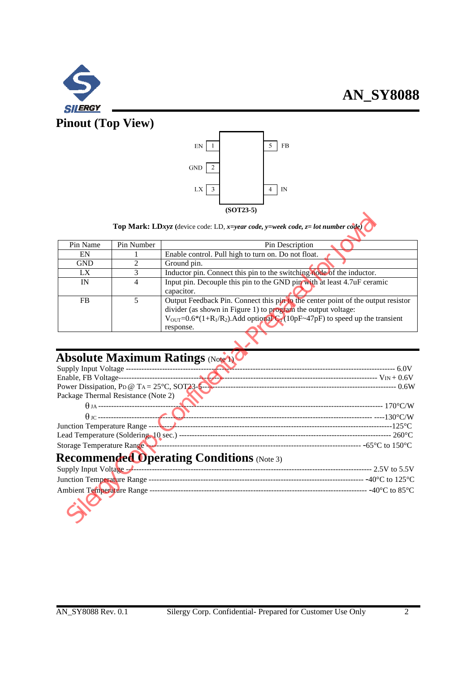





**Top Mark: LD***xyz* **(**device code: LD, *x=year code, y=week code, z= lot number code)*

|                                     |                | $(50143-3)$                                                                                                                                                                                                                                             |  |  |  |  |
|-------------------------------------|----------------|---------------------------------------------------------------------------------------------------------------------------------------------------------------------------------------------------------------------------------------------------------|--|--|--|--|
|                                     |                | <b>Top Mark: LDxyz</b> (device code: LD, x=year code, y=week code, $z =$ lot number code)                                                                                                                                                               |  |  |  |  |
| Pin Name                            | Pin Number     | Pin Description                                                                                                                                                                                                                                         |  |  |  |  |
| EN                                  |                | Enable control. Pull high to turn on. Do not float.                                                                                                                                                                                                     |  |  |  |  |
| <b>GND</b>                          | $\overline{c}$ | Ground pin.                                                                                                                                                                                                                                             |  |  |  |  |
| LX                                  | 3              | Inductor pin. Connect this pin to the switching node of the inductor.                                                                                                                                                                                   |  |  |  |  |
| IN                                  | 4              | Input pin. Decouple this pin to the GND pin with at least 4.7uF ceramic<br>capacitor.                                                                                                                                                                   |  |  |  |  |
| <b>FB</b>                           | 5              | Output Feedback Pin. Connect this pin to the center point of the output resistor<br>divider (as shown in Figure 1) to program the output voltage:<br>$V_{OUT} = 0.6*(1+R_1/R_2)$ . Add optional $Q_1(10pF-47pF)$ to speed up the transient<br>response. |  |  |  |  |
|                                     |                | <b>Absolute Maximum Ratings (Note A)</b>                                                                                                                                                                                                                |  |  |  |  |
|                                     |                |                                                                                                                                                                                                                                                         |  |  |  |  |
|                                     |                |                                                                                                                                                                                                                                                         |  |  |  |  |
| Package Thermal Resistance (Note 2) |                |                                                                                                                                                                                                                                                         |  |  |  |  |
|                                     |                |                                                                                                                                                                                                                                                         |  |  |  |  |
|                                     |                |                                                                                                                                                                                                                                                         |  |  |  |  |
|                                     |                | Junction Temperature Range ---- 125°C                                                                                                                                                                                                                   |  |  |  |  |
|                                     |                |                                                                                                                                                                                                                                                         |  |  |  |  |
|                                     |                | Storage Temperature Range Minimum and the Contract of the Association of the Association of the 150 °C                                                                                                                                                  |  |  |  |  |
|                                     |                | <b>Recommended Operating Conditions (Note 3)</b>                                                                                                                                                                                                        |  |  |  |  |
|                                     |                | Supply Input Voltage - 2.5 to 5.5 V                                                                                                                                                                                                                     |  |  |  |  |
|                                     |                |                                                                                                                                                                                                                                                         |  |  |  |  |
|                                     |                |                                                                                                                                                                                                                                                         |  |  |  |  |
|                                     |                |                                                                                                                                                                                                                                                         |  |  |  |  |

# **Absolute Maximum Ratings (Note 1)**

| Power Dissipation, PD @ TA = $25^{\circ}$ C, SOT23-5 |                                          |
|------------------------------------------------------|------------------------------------------|
| Package Thermal Resistance (Note 2)                  |                                          |
| $\theta$ JA ----------------------------             |                                          |
|                                                      |                                          |
|                                                      |                                          |
|                                                      |                                          |
| Storage Temperature Range                            | $-$ -65 $^{\circ}$ C to 150 $^{\circ}$ C |
|                                                      |                                          |

## **Recommended Operating Conditions** (Note 3)

| Supply Input Voltage --              | ---- 2.5V to 5.5V   |
|--------------------------------------|---------------------|
|                                      |                     |
| Junction Temperature Range ----      | --- -40°C to 125°C. |
| ------------------------------------ | - -40°C to 85°C.    |
| Ambient Temperature Range ---        |                     |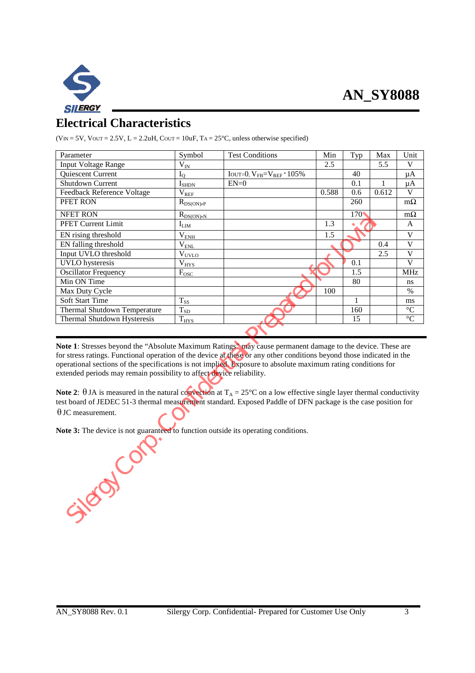

## **Electrical Characteristics**

( $V_{IN} = 5V$ ,  $V_{OUT} = 2.5V$ ,  $L = 2.2uH$ ,  $C_{OUT} = 10uF$ ,  $TA = 25°C$ , unless otherwise specified)

| Parameter                                                                                                                                                                                                                                                                                                                                                                                                                     | Symbol                    | <b>Test Conditions</b>                                                               | Min   | Typ  | Max   | Unit                    |  |  |
|-------------------------------------------------------------------------------------------------------------------------------------------------------------------------------------------------------------------------------------------------------------------------------------------------------------------------------------------------------------------------------------------------------------------------------|---------------------------|--------------------------------------------------------------------------------------|-------|------|-------|-------------------------|--|--|
| <b>Input Voltage Range</b>                                                                                                                                                                                                                                                                                                                                                                                                    | $\rm V_{IN}$              |                                                                                      | 2.5   |      | 5.5   | V                       |  |  |
| Quiescent Current                                                                                                                                                                                                                                                                                                                                                                                                             | $I_{\rm O}$               | $\overline{\text{Iou}r}$ =0, $\text{V}_{\text{FB}}$ = $\text{V}_{\text{REF}}$ · 105% |       | 40   |       | $\mu A$                 |  |  |
| Shutdown Current                                                                                                                                                                                                                                                                                                                                                                                                              | $I_{\text{SHDN}}$         | $EN=0$                                                                               |       | 0.1  | 1     | μA                      |  |  |
| Feedback Reference Voltage                                                                                                                                                                                                                                                                                                                                                                                                    | $\rm V_{REF}$             |                                                                                      | 0.588 | 0.6  | 0.612 | V                       |  |  |
| PFET RON                                                                                                                                                                                                                                                                                                                                                                                                                      | $R_{DS(ON),P}$            |                                                                                      |       | 260  |       | $m\Omega$               |  |  |
| <b>NFET RON</b>                                                                                                                                                                                                                                                                                                                                                                                                               | $R_{DS(ON) \text{,} N}$   |                                                                                      |       | 1704 |       | $m\Omega$               |  |  |
| PFET Current Limit                                                                                                                                                                                                                                                                                                                                                                                                            | $I_{LM}$                  |                                                                                      | 1.3   |      |       | A                       |  |  |
| EN rising threshold                                                                                                                                                                                                                                                                                                                                                                                                           | $\rm V_{\rm ENH}$         |                                                                                      | 1.5   |      |       | $\mathbf V$             |  |  |
| EN falling threshold                                                                                                                                                                                                                                                                                                                                                                                                          | $\rm V_{\underline{FNL}}$ |                                                                                      |       |      | 0.4   | $\overline{V}$          |  |  |
| Input UVLO threshold                                                                                                                                                                                                                                                                                                                                                                                                          | $V_{UVLO}$                |                                                                                      |       |      | 2.5   | $\overline{V}$          |  |  |
| <b>UVLO</b> hysteresis                                                                                                                                                                                                                                                                                                                                                                                                        | $\rm V_{\underline{HYS}}$ |                                                                                      |       | 0.1  |       | $\overline{\mathbf{V}}$ |  |  |
| <b>Oscillator Frequency</b>                                                                                                                                                                                                                                                                                                                                                                                                   | $F_{\text{OSC}}$          |                                                                                      |       | 1.5  |       | <b>MHz</b>              |  |  |
| Min ON Time                                                                                                                                                                                                                                                                                                                                                                                                                   |                           |                                                                                      |       | 80   |       | ns                      |  |  |
| Max Duty Cycle                                                                                                                                                                                                                                                                                                                                                                                                                |                           |                                                                                      | 100   |      |       | $\%$                    |  |  |
| Soft Start Time                                                                                                                                                                                                                                                                                                                                                                                                               | $T_{SS}$                  |                                                                                      |       | 1    |       | ms                      |  |  |
| Thermal Shutdown Temperature                                                                                                                                                                                                                                                                                                                                                                                                  | $T_{\rm SD}$              |                                                                                      |       | 160  |       | $\overline{C}$          |  |  |
| Thermal Shutdown Hysteresis                                                                                                                                                                                                                                                                                                                                                                                                   | $T_{HYS}$                 |                                                                                      |       | 15   |       | $\overline{C}$          |  |  |
|                                                                                                                                                                                                                                                                                                                                                                                                                               |                           |                                                                                      |       |      |       |                         |  |  |
| Note 1: Stresses beyond the "Absolute Maximum Ratings" may cause permanent damage to the device. These are<br>for stress ratings. Functional operation of the device at these or any other conditions beyond those indicated in the<br>operational sections of the specifications is not implied. Exposure to absolute maximum rating conditions for<br>extended periods may remain possibility to affect device reliability. |                           |                                                                                      |       |      |       |                         |  |  |
| Note 2: $\theta$ JA is measured in the natural convection at T <sub>A</sub> = 25°C on a low effective single layer thermal conductivity<br>test board of JEDEC 51-3 thermal measurement standard. Exposed Paddle of DFN package is the case position for                                                                                                                                                                      |                           |                                                                                      |       |      |       |                         |  |  |
| $\theta$ JC measurement.                                                                                                                                                                                                                                                                                                                                                                                                      |                           |                                                                                      |       |      |       |                         |  |  |
| Note 3: The device is not guaranteed to function outside its operating conditions.                                                                                                                                                                                                                                                                                                                                            |                           |                                                                                      |       |      |       |                         |  |  |
| Silence Con                                                                                                                                                                                                                                                                                                                                                                                                                   |                           |                                                                                      |       |      |       |                         |  |  |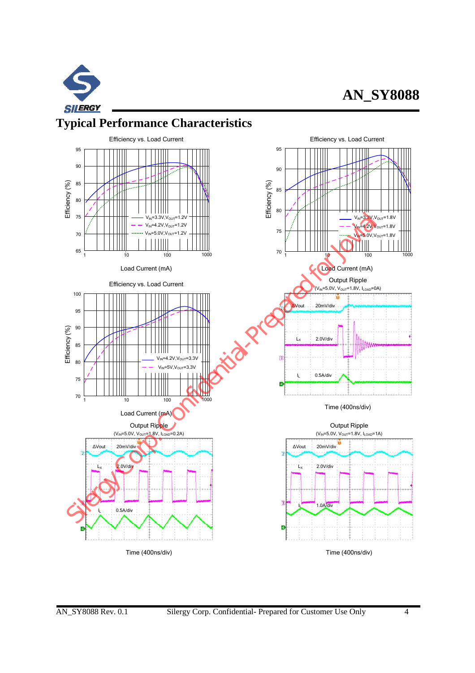

# **AN\_SY8088**

## **Typical Performance Characteristics**

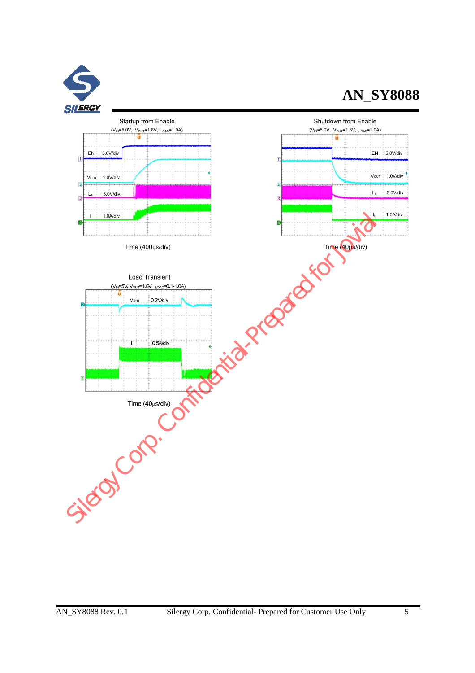![](_page_4_Picture_0.jpeg)

# **AN\_SY8088**

![](_page_4_Figure_2.jpeg)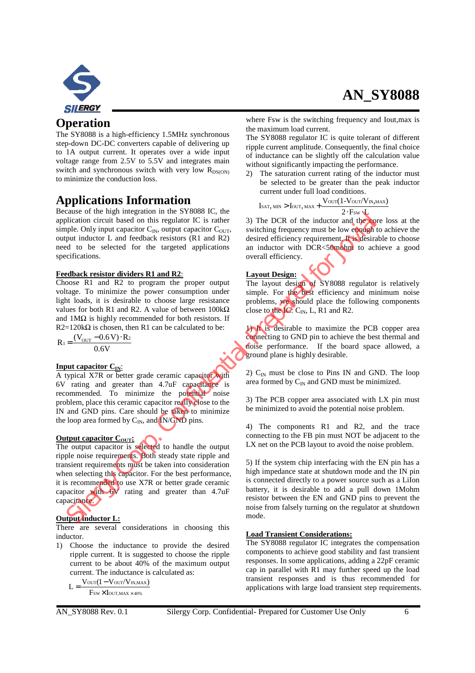![](_page_5_Picture_0.jpeg)

### **Operation**

The SY8088 is a high-efficiency 1.5MHz synchronous step-down DC-DC converters capable of delivering up to 1A output current. It operates over a wide input voltage range from 2.5V to 5.5V and integrates main switch and synchronous switch with very low  $R_{DS(ON)}$ to minimize the conduction loss.

### **Applications Information**

Because of the high integration in the SY8088 IC, the application circuit based on this regulator IC is rather simple. Only input capacitor  $C_{IN}$ , output capacitor  $C_{OUT}$ , output inductor L and feedback resistors (R1 and R2) need to be selected for the targeted applications specifications.

#### **Feedback resistor dividers R1 and R2**:

Choose R1 and R2 to program the proper output voltage. To minimize the power consumption under light loads, it is desirable to choose large resistance values for both R1 and R2. A value of between  $100k\Omega$ and  $1\text{M}\Omega$  is highly recommended for both resistors. If R2=120k $\Omega$  is chosen, then R1 can be calculated to be:

 $R_1 = \frac{(V_{\text{OUT}} - 0.6 \text{ V}) \cdot R_2}{0.6 \text{ V}}$  $=\frac{(V_{\text{OUT}}-0.6 V) \cdot}{2 \cdot 10^{13}}$ 

### **Input capacitor CIN**:

A typical X7R or better grade ceramic capacitor with 6V rating and greater than 4.7uF capacitance is recommended. To minimize the potential noise problem, place this ceramic capacitor really close to the IN and GND pins. Care should be taken to minimize the loop area formed by  $C_{IN}$ , and  $\overline{N}/\overline{GND}$  pins.

### **Output capacitor C<sub>OUT</sub>:**

The output capacitor is selected to handle the output ripple noise requirements. Both steady state ripple and transient requirements must be taken into consideration when selecting this capacitor. For the best performance, it is recommended to use X7R or better grade ceramic capacitor with  $6V$  rating and greater than 4.7uF capacitance. Example of the hyper method of the SYBOS SIC, the control in the SYROS SIC, the control of Corp. The DCR of the inductor Latitude to be exactly the confidential of the selected for the transition of the selected for the t

### **Output inductor L:**

There are several considerations in choosing this inductor.

- 1) Choose the inductance to provide the desired ripple current. It is suggested to choose the ripple current to be about 40% of the maximum output current. The inductance is calculated as:
	- $L = \frac{V_{\text{OUT}}(1 V_{\text{OUT}}/V_{\text{IN,MAX}})}{V_{\text{UV,MAX}}}$  $F_{\rm SW}\times I_{\rm OUT,MAX\,\times\,40\%}$

where Fsw is the switching frequency and Iout,max is the maximum load current.

The SY8088 regulator IC is quite tolerant of different ripple current amplitude. Consequently, the final choice of inductance can be slightly off the calculation value without significantly impacting the performance.

2) The saturation current rating of the inductor must be selected to be greater than the peak inductor current under full load conditions.

$$
I_{\text{SAT, MIN}} > I_{\text{OUT, MAX}} + \frac{V_{\text{OUT}}(1 - V_{\text{OUT}}/V_{\text{IN, MAX}})}{2 \cdot F_{\text{SW}} \cdot L}
$$

3) The DCR of the inductor and the core loss at the switching frequency must be low enough to achieve the desired efficiency requirement. It is desirable to choose an inductor with DCR<50mohm to achieve a good overall efficiency.

### **Layout Design:**

The layout design of SY8088 regulator is relatively simple. For the best efficiency and minimum noise problems, we should place the following components close to the IC:  $C_{IN}$ , L, R1 and R2.

1) It is desirable to maximize the PCB copper area connecting to GND pin to achieve the best thermal and noise performance. If the board space allowed, a ground plane is highly desirable.

2)  $C_{IN}$  must be close to Pins IN and GND. The loop area formed by  $C_{IN}$  and GND must be minimized.

3) The PCB copper area associated with LX pin must be minimized to avoid the potential noise problem.

4) The components R1 and R2, and the trace connecting to the FB pin must NOT be adjacent to the LX net on the PCB layout to avoid the noise problem.

5) If the system chip interfacing with the EN pin has a high impedance state at shutdown mode and the IN pin is connected directly to a power source such as a LiIon battery, it is desirable to add a pull down 1Mohm resistor between the EN and GND pins to prevent the noise from falsely turning on the regulator at shutdown mode.

### **Load Transient Considerations:**

The SY8088 regulator IC integrates the compensation components to achieve good stability and fast transient responses. In some applications, adding a 22pF ceramic cap in parallel with R1 may further speed up the load transient responses and is thus recommended for applications with large load transient step requirements.